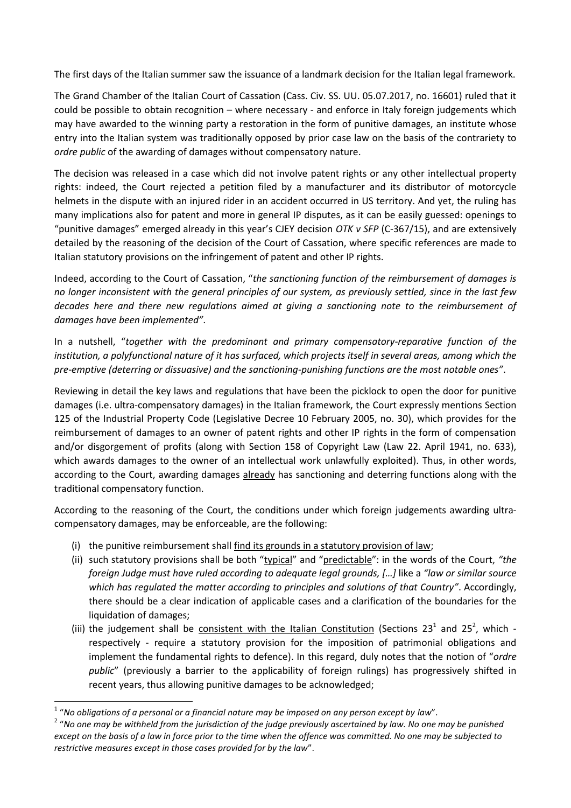The first days of the Italian summer saw the issuance of a landmark decision for the Italian legal framework.

The Grand Chamber of the Italian Court of Cassation (Cass. Civ. SS. UU. 05.07.2017, no. 16601) ruled that it could be possible to obtain recognition – where necessary - and enforce in Italy foreign judgements which may have awarded to the winning party a restoration in the form of punitive damages, an institute whose entry into the Italian system was traditionally opposed by prior case law on the basis of the contrariety to *ordre public* of the awarding of damages without compensatory nature.

The decision was released in a case which did not involve patent rights or any other intellectual property rights: indeed, the Court rejected a petition filed by a manufacturer and its distributor of motorcycle helmets in the dispute with an injured rider in an accident occurred in US territory. And yet, the ruling has many implications also for patent and more in general IP disputes, as it can be easily guessed: openings to "punitive damages" emerged already in this year's CJEY decision *OTK v SFP* (C-367/15), and are extensively detailed by the reasoning of the decision of the Court of Cassation, where specific references are made to Italian statutory provisions on the infringement of patent and other IP rights.

Indeed, according to the Court of Cassation, "*the sanctioning function of the reimbursement of damages is no longer inconsistent with the general principles of our system, as previously settled, since in the last few decades here and there new regulations aimed at giving a sanctioning note to the reimbursement of damages have been implemented"*.

In a nutshell, "*together with the predominant and primary compensatory-reparative function of the institution, a polyfunctional nature of it has surfaced, which projects itself in several areas, among which the pre-emptive (deterring or dissuasive) and the sanctioning-punishing functions are the most notable ones"*.

Reviewing in detail the key laws and regulations that have been the picklock to open the door for punitive damages (i.e. ultra-compensatory damages) in the Italian framework, the Court expressly mentions Section 125 of the Industrial Property Code (Legislative Decree 10 February 2005, no. 30), which provides for the reimbursement of damages to an owner of patent rights and other IP rights in the form of compensation and/or disgorgement of profits (along with Section 158 of Copyright Law (Law 22. April 1941, no. 633), which awards damages to the owner of an intellectual work unlawfully exploited). Thus, in other words, according to the Court, awarding damages already has sanctioning and deterring functions along with the traditional compensatory function.

According to the reasoning of the Court, the conditions under which foreign judgements awarding ultracompensatory damages, may be enforceable, are the following:

- (i) the punitive reimbursement shall find its grounds in a statutory provision of law;
- (ii) such statutory provisions shall be both "typical" and "predictable": in the words of the Court, *"the foreign Judge must have ruled according to adequate legal grounds, […]* like a *"law or similar source which has regulated the matter according to principles and solutions of that Country"*. Accordingly, there should be a clear indication of applicable cases and a clarification of the boundaries for the liquidation of damages;
- (iii) the judgement shall be consistent with the Italian Constitution (Sections 23<sup>1</sup> and 25<sup>2</sup>, which respectively - require a statutory provision for the imposition of patrimonial obligations and implement the fundamental rights to defence). In this regard, duly notes that the notion of "*ordre public*" (previously a barrier to the applicability of foreign rulings) has progressively shifted in recent years, thus allowing punitive damages to be acknowledged;

**.** 

<sup>1</sup> "*No obligations of a personal or a financial nature may be imposed on any person except by law*".

<sup>&</sup>lt;sup>2</sup> "No one may be withheld from the jurisdiction of the judge previously ascertained by law. No one may be punished *except on the basis of a law in force prior to the time when the offence was committed. No one may be subjected to restrictive measures except in those cases provided for by the law*".